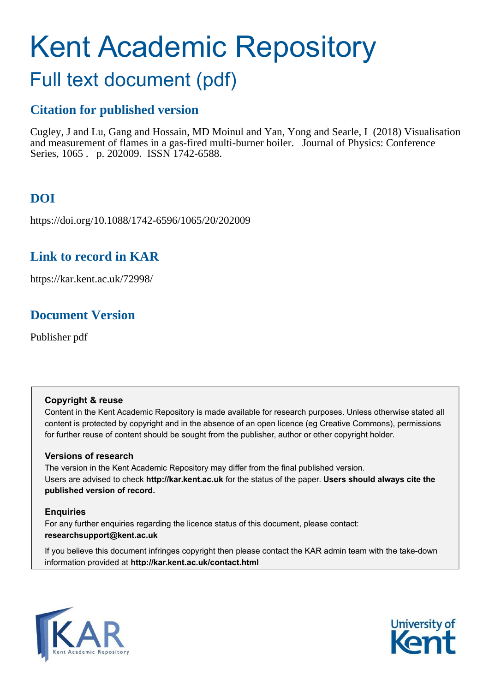# Kent Academic Repository

## Full text document (pdf)

## **Citation for published version**

Cugley, J and Lu, Gang and Hossain, MD Moinul and Yan, Yong and Searle, I (2018) Visualisation and measurement of flames in a gas-fired multi-burner boiler. Journal of Physics: Conference Series, 1065 . p. 202009. ISSN 1742-6588.

## **DOI**

https://doi.org/10.1088/1742-6596/1065/20/202009

## **Link to record in KAR**

https://kar.kent.ac.uk/72998/

## **Document Version**

Publisher pdf

### **Copyright & reuse**

Content in the Kent Academic Repository is made available for research purposes. Unless otherwise stated all content is protected by copyright and in the absence of an open licence (eg Creative Commons), permissions for further reuse of content should be sought from the publisher, author or other copyright holder.

### **Versions of research**

The version in the Kent Academic Repository may differ from the final published version. Users are advised to check **http://kar.kent.ac.uk** for the status of the paper. **Users should always cite the published version of record.**

### **Enquiries**

For any further enquiries regarding the licence status of this document, please contact: **researchsupport@kent.ac.uk**

If you believe this document infringes copyright then please contact the KAR admin team with the take-down information provided at **http://kar.kent.ac.uk/contact.html**



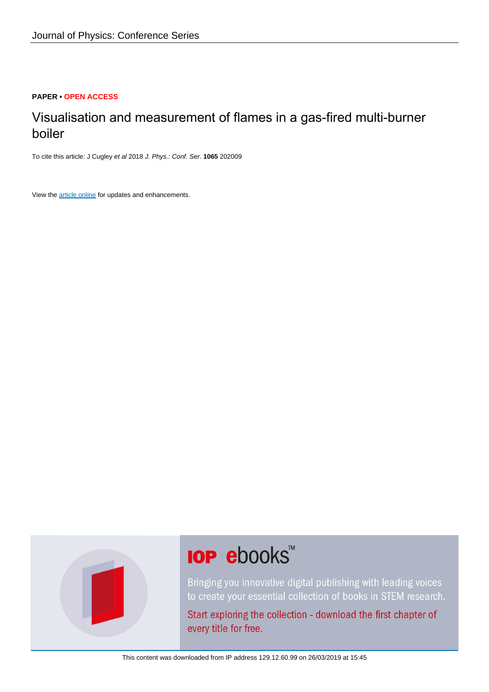### **PAPER • OPEN ACCESS**

## Visualisation and measurement of flames in a gas-fired multi-burner boiler

To cite this article: J Cugley et al 2018 J. Phys.: Conf. Ser. **1065** 202009

View the [article online](https://doi.org/10.1088/1742-6596/1065/20/202009) for updates and enhancements.



## **IOP ebooks**™

Bringing you innovative digital publishing with leading voices to create your essential collection of books in STEM research.

Start exploring the collection - download the first chapter of every title for free.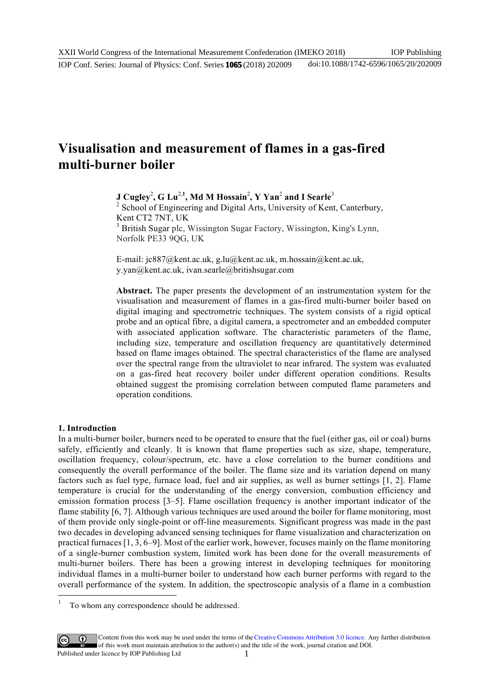### **Visualisation and measurement of flames in a gas-fired multi-burner boiler**

**J** Cugley<sup>2</sup>, G Lu<sup>2,1</sup>, Md M Hossain<sup>2</sup>, Y Yan<sup>2</sup> and I Searle<sup>3</sup> <sup>2</sup> School of Engineering and Digital Arts, University of Kent, Canterbury, Kent CT2 7NT, UK <sup>3</sup> British Sugar plc, Wissington Sugar Factory, Wissington, King's Lynn, Norfolk PE33 9QG, UK

E-mail: jc887@kent.ac.uk, g.lu@kent.ac.uk, m.hossain@kent.ac.uk, y.yan@kent.ac.uk, ivan.searle@britishsugar.com

**Abstract.** The paper presents the development of an instrumentation system for the visualisation and measurement of flames in a gas-fired multi-burner boiler based on digital imaging and spectrometric techniques. The system consists of a rigid optical probe and an optical fibre, a digital camera, a spectrometer and an embedded computer with associated application software. The characteristic parameters of the flame, including size, temperature and oscillation frequency are quantitatively determined based on flame images obtained. The spectral characteristics of the flame are analysed over the spectral range from the ultraviolet to near infrared. The system was evaluated on a gas-fired heat recovery boiler under different operation conditions. Results obtained suggest the promising correlation between computed flame parameters and operation conditions.

### **1. Introduction**

 $\ddot{ }$ 1

In a multi-burner boiler, burners need to be operated to ensure that the fuel (either gas, oil or coal) burns safely, efficiently and cleanly. It is known that flame properties such as size, shape, temperature, oscillation frequency, colour/spectrum, etc. have a close correlation to the burner conditions and consequently the overall performance of the boiler. The flame size and its variation depend on many factors such as fuel type, furnace load, fuel and air supplies, as well as burner settings [1, 2]. Flame temperature is crucial for the understanding of the energy conversion, combustion efficiency and emission formation process [3–5]. Flame oscillation frequency is another important indicator of the flame stability [6, 7]. Although various techniques are used around the boiler for flame monitoring, most of them provide only single-point or off-line measurements. Significant progress was made in the past two decades in developing advanced sensing techniques for flame visualization and characterization on practical furnaces [1, 3, 6–9]. Most of the earlier work, however, focuses mainly on the flame monitoring of a single-burner combustion system, limited work has been done for the overall measurements of multi-burner boilers. There has been a growing interest in developing techniques for monitoring individual flames in a multi-burner boiler to understand how each burner performs with regard to the overall performance of the system. In addition, the spectroscopic analysis of a flame in a combustion

Content from this work may be used under the terms of the[Creative Commons Attribution 3.0 licence.](http://creativecommons.org/licenses/by/3.0) Any further distribution of this work must maintain attribution to the author(s) and the title of the work, journal citation and DOI. Published under licence by IOP Publishing Ltd

To whom any correspondence should be addressed.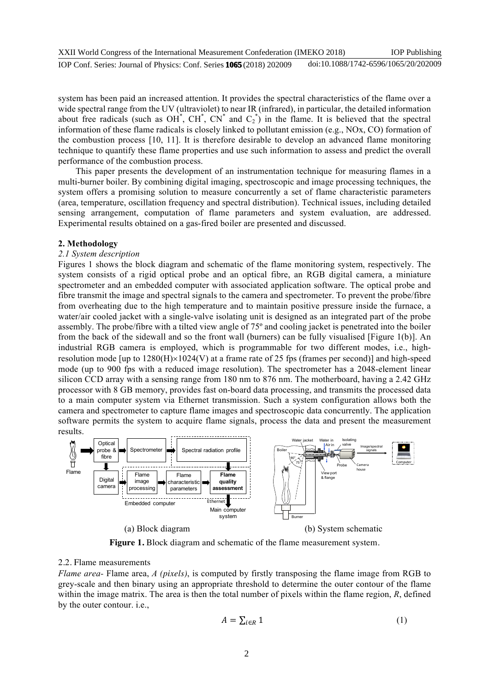XXII World Congress of the International Measurement Confederation (IMEKO 2018) IOP Conf. Series: Journal of Physics: Conf. Series **1065** (2018) 202009 IOP Publishing doi:10.1088/1742-6596/1065/20/202009

system has been paid an increased attention. It provides the spectral characteristics of the flame over a wide spectral range from the UV (ultraviolet) to near IR (infrared), in particular, the detailed information about free radicals (such as OH<sup>\*</sup>, CH<sup>\*</sup>, CN<sup>\*</sup> and  $C_2^*$ ) in the flame. It is believed that the spectral information of these flame radicals is closely linked to pollutant emission (e.g., NOx, CO) formation of the combustion process [10, 11]. It is therefore desirable to develop an advanced flame monitoring technique to quantify these flame properties and use such information to assess and predict the overall performance of the combustion process.

This paper presents the development of an instrumentation technique for measuring flames in a multi-burner boiler. By combining digital imaging, spectroscopic and image processing techniques, the system offers a promising solution to measure concurrently a set of flame characteristic parameters (area, temperature, oscillation frequency and spectral distribution). Technical issues, including detailed sensing arrangement, computation of flame parameters and system evaluation, are addressed. Experimental results obtained on a gas-fired boiler are presented and discussed.

#### **2. Methodology**

#### *2.1 System description*

Figures 1 shows the block diagram and schematic of the flame monitoring system, respectively. The system consists of a rigid optical probe and an optical fibre, an RGB digital camera, a miniature spectrometer and an embedded computer with associated application software. The optical probe and fibre transmit the image and spectral signals to the camera and spectrometer. To prevent the probe/fibre from overheating due to the high temperature and to maintain positive pressure inside the furnace, a water/air cooled jacket with a single-valve isolating unit is designed as an integrated part of the probe assembly. The probe/fibre with a tilted view angle of 75º and cooling jacket is penetrated into the boiler from the back of the sidewall and so the front wall (burners) can be fully visualised [Figure 1(b)]. An industrial RGB camera is employed, which is programmable for two different modes, i.e., highresolution mode [up to  $1280(H) \times 1024(V)$  at a frame rate of 25 fps (frames per second)] and high-speed mode (up to 900 fps with a reduced image resolution). The spectrometer has a 2048-element linear silicon CCD array with a sensing range from 180 nm to 876 nm. The motherboard, having a 2.42 GHz processor with 8 GB memory, provides fast on-board data processing, and transmits the processed data to a main computer system via Ethernet transmission. Such a system configuration allows both the camera and spectrometer to capture flame images and spectroscopic data concurrently. The application software permits the system to acquire flame signals, process the data and present the measurement results.



**Figure 1.** Block diagram and schematic of the flame measurement system.

### 2.2. Flame measurements

*Flame area-* Flame area, *A (pixels)*, is computed by firstly transposing the flame image from RGB to grey-scale and then binary using an appropriate threshold to determine the outer contour of the flame within the image matrix. The area is then the total number of pixels within the flame region, *R*, defined by the outer contour. i.e.,

$$
A = \sum_{i \in R} 1 \tag{1}
$$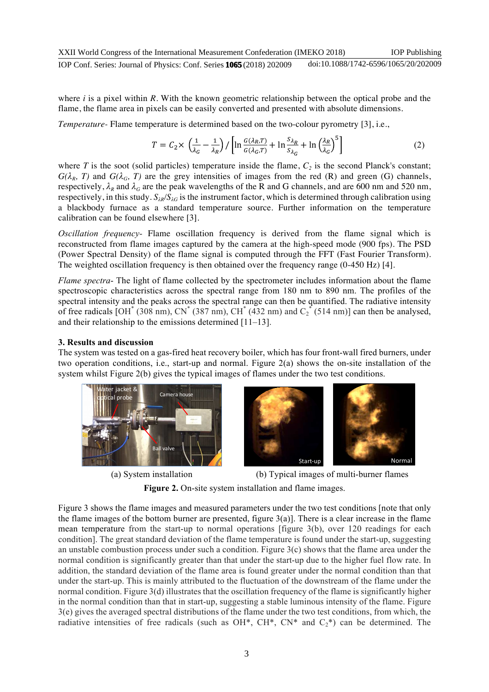where *i* is a pixel within *R*. With the known geometric relationship between the optical probe and the flame, the flame area in pixels can be easily converted and presented with absolute dimensions.

*Temperature-* Flame temperature is determined based on the two-colour pyrometry [3], i.e.,

$$
T = C_2 \times \left(\frac{1}{\lambda_G} - \frac{1}{\lambda_R}\right) / \left[ \ln \frac{G(\lambda_R, T)}{G(\lambda_G, T)} + \ln \frac{S_{\lambda_R}}{S_{\lambda_G}} + \ln \left(\frac{\lambda_R}{\lambda_G}\right)^5 \right] \tag{2}
$$

where  $T$  is the soot (solid particles) temperature inside the flame,  $C_2$  is the second Planck's constant;  $G(\lambda_R, T)$  and  $G(\lambda_G, T)$  are the grey intensities of images from the red (R) and green (G) channels, respectively,  $\lambda_R$  and  $\lambda_G$  are the peak wavelengths of the R and G channels, and are 600 nm and 520 nm, respectively, in this study.  $S_{\lambda R}/S_{\lambda G}$  is the instrument factor, which is determined through calibration using a blackbody furnace as a standard temperature source. Further information on the temperature calibration can be found elsewhere [3].

*Oscillation frequency-* Flame oscillation frequency is derived from the flame signal which is reconstructed from flame images captured by the camera at the high-speed mode (900 fps). The PSD (Power Spectral Density) of the flame signal is computed through the FFT (Fast Fourier Transform). The weighted oscillation frequency is then obtained over the frequency range (0-450 Hz) [4].

*Flame spectra*- The light of flame collected by the spectrometer includes information about the flame spectroscopic characteristics across the spectral range from 180 nm to 890 nm. The profiles of the spectral intensity and the peaks across the spectral range can then be quantified. The radiative intensity of free radicals  $[OH^*(308 nm), CN^*(387 nm), CH^*(432 nm)$  and  $C_2^*(514 nm)]$  can then be analysed, and their relationship to the emissions determined [11–13].

### **3. Results and discussion**

The system was tested on a gas-fired heat recovery boiler, which has four front-wall fired burners, under two operation conditions, i.e., start-up and normal. Figure 2(a) shows the on-site installation of the system whilst Figure 2(b) gives the typical images of flames under the two test conditions.





(a) System installation (b) Typical images of multi-burner flames

**Figure 2.** On-site system installation and flame images.

Figure 3 shows the flame images and measured parameters under the two test conditions [note that only the flame images of the bottom burner are presented, figure  $3(a)$ ]. There is a clear increase in the flame mean temperature from the start-up to normal operations [figure 3(b), over 120 readings for each condition]. The great standard deviation of the flame temperature is found under the start-up, suggesting an unstable combustion process under such a condition. Figure  $3(c)$  shows that the flame area under the normal condition is significantly greater than that under the start-up due to the higher fuel flow rate. In addition, the standard deviation of the flame area is found greater under the normal condition than that under the start-up. This is mainly attributed to the fluctuation of the downstream of the flame under the normal condition. Figure 3(d) illustrates that the oscillation frequency of the flame is significantly higher in the normal condition than that in start-up, suggesting a stable luminous intensity of the flame. Figure 3(e) gives the averaged spectral distributions of the flame under the two test conditions, from which, the radiative intensities of free radicals (such as OH\*, CH\*, CN\* and  $C_2^*$ ) can be determined. The